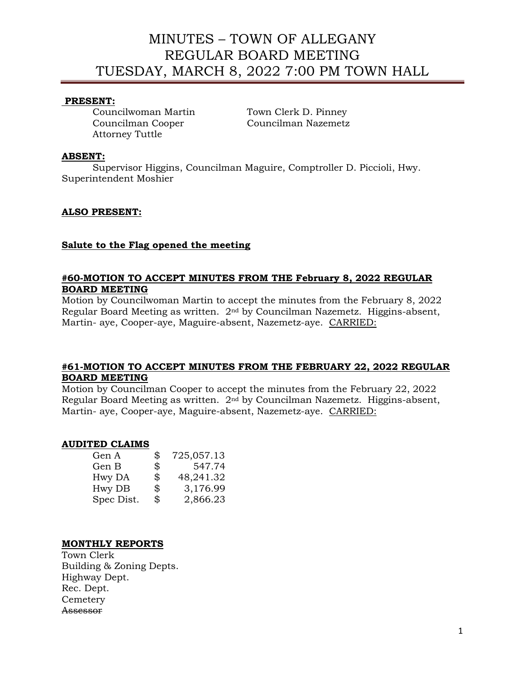# MINUTES – TOWN OF ALLEGANY REGULAR BOARD MEETING TUESDAY, MARCH 8, 2022 7:00 PM TOWN HALL

# **PRESENT:**

Councilwoman Martin Town Clerk D. Pinney Councilman Cooper Councilman Nazemetz Attorney Tuttle

# **ABSENT:**

Supervisor Higgins, Councilman Maguire, Comptroller D. Piccioli, Hwy. Superintendent Moshier

# **ALSO PRESENT:**

# **Salute to the Flag opened the meeting**

# **#60-MOTION TO ACCEPT MINUTES FROM THE February 8, 2022 REGULAR BOARD MEETING**

Motion by Councilwoman Martin to accept the minutes from the February 8, 2022 Regular Board Meeting as written. 2nd by Councilman Nazemetz. Higgins-absent, Martin- aye, Cooper-aye, Maguire-absent, Nazemetz-aye. CARRIED:

#### **#61-MOTION TO ACCEPT MINUTES FROM THE FEBRUARY 22, 2022 REGULAR BOARD MEETING**

Motion by Councilman Cooper to accept the minutes from the February 22, 2022 Regular Board Meeting as written. 2nd by Councilman Nazemetz. Higgins-absent, Martin- aye, Cooper-aye, Maguire-absent, Nazemetz-aye. CARRIED:

#### **AUDITED CLAIMS**

| \$<br>725,057.13 |
|------------------|
| \$<br>547.74     |
| \$<br>48,241.32  |
| \$<br>3,176.99   |
| \$<br>2,866.23   |
|                  |

# **MONTHLY REPORTS**

Town Clerk Building & Zoning Depts. Highway Dept. Rec. Dept. **Cemetery** Assessor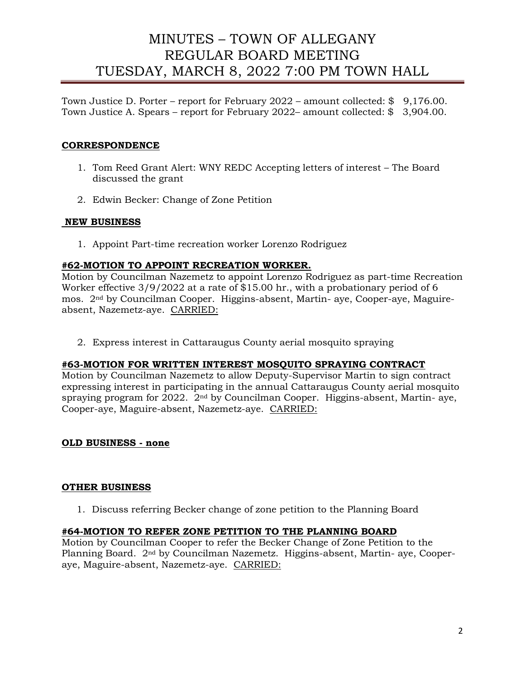# MINUTES – TOWN OF ALLEGANY REGULAR BOARD MEETING TUESDAY, MARCH 8, 2022 7:00 PM TOWN HALL

Town Justice D. Porter – report for February 2022 – amount collected: \$ 9,176.00. Town Justice A. Spears – report for February 2022– amount collected: \$ 3,904.00.

# **CORRESPONDENCE**

- 1. Tom Reed Grant Alert: WNY REDC Accepting letters of interest The Board discussed the grant
- 2. Edwin Becker: Change of Zone Petition

# **NEW BUSINESS**

1. Appoint Part-time recreation worker Lorenzo Rodriguez

# **#62-MOTION TO APPOINT RECREATION WORKER.**

Motion by Councilman Nazemetz to appoint Lorenzo Rodriguez as part-time Recreation Worker effective 3/9/2022 at a rate of \$15.00 hr., with a probationary period of 6 mos. 2nd by Councilman Cooper. Higgins-absent, Martin- aye, Cooper-aye, Maguireabsent, Nazemetz-aye. CARRIED:

2. Express interest in Cattaraugus County aerial mosquito spraying

# **#63-MOTION FOR WRITTEN INTEREST MOSQUITO SPRAYING CONTRACT**

Motion by Councilman Nazemetz to allow Deputy-Supervisor Martin to sign contract expressing interest in participating in the annual Cattaraugus County aerial mosquito spraying program for 2022. 2nd by Councilman Cooper. Higgins-absent, Martin- aye, Cooper-aye, Maguire-absent, Nazemetz-aye. CARRIED:

# **OLD BUSINESS - none**

# **OTHER BUSINESS**

1. Discuss referring Becker change of zone petition to the Planning Board

# **#64-MOTION TO REFER ZONE PETITION TO THE PLANNING BOARD**

Motion by Councilman Cooper to refer the Becker Change of Zone Petition to the Planning Board. 2nd by Councilman Nazemetz. Higgins-absent, Martin- aye, Cooperaye, Maguire-absent, Nazemetz-aye. CARRIED: